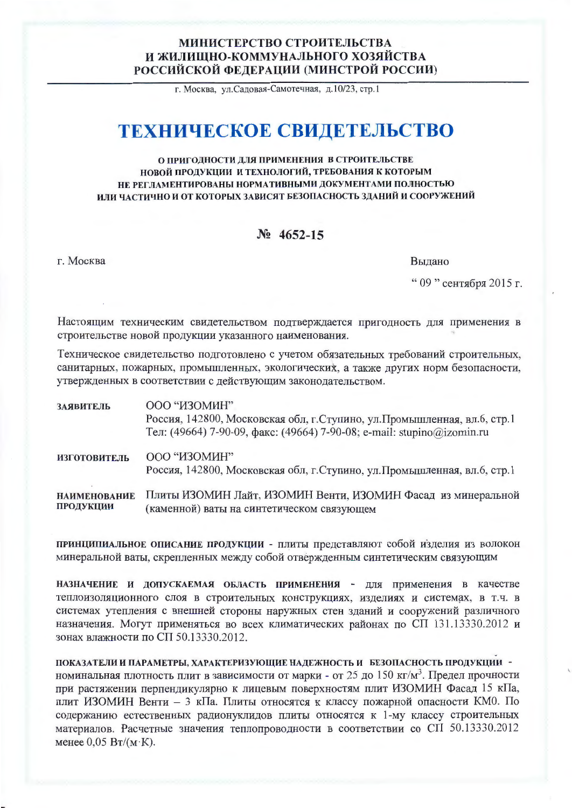## МИНИСТЕРСТВО СТРОИТЕЛЬСТВА И ЖИЛИЩНО-КОММУНАЛЬНОГО ХОЗЯЙСТВА РОССИЙСКОЙ ФЕДЕРАЦИИ (МИНСТРОЙ РОССИИ)

г. Москва, ул. Садовая-Самотечная, д. 10/23, стр. 1

## ТЕХНИЧЕСКОЕ СВИДЕТЕЛЬСТВО

## О ПРИГОДНОСТИ ДЛЯ ПРИМЕНЕНИЯ В СТРОИТЕЛЬСТВЕ НОВОЙ ПРОДУКЦИИ И ТЕХНОЛОГИЙ, ТРЕБОВАНИЯ К КОТОРЫМ НЕ РЕГЛАМЕНТИРОВАНЫ НОРМАТИВНЫМИ ДОКУМЕНТАМИ ПОЛНОСТЬЮ ИЛИ ЧАСТИЧНО И ОТ КОТОРЫХ ЗАВИСЯТ БЕЗОПАСНОСТЬ ЗДАНИЙ И СООРУЖЕНИЙ

## $N_2$  4652-15

г. Москва

Выдано

" 09 " сентября 2015 г.

Настоящим техническим свидетельством подтверждается пригодность для применения в строительстве новой продукции указанного наименования.

Техническое свидетельство подготовлено с учетом обязательных требований строительных, санитарных, пожарных, промышленных, экологических, а также других норм безопасности, утвержденных в соответствии с действующим законодательством.

| ЗАЯВИТЕЛЬ                        | ООО "ИЗОМИН"                                                                                                                                      |
|----------------------------------|---------------------------------------------------------------------------------------------------------------------------------------------------|
|                                  | Россия, 142800, Московская обл, г.Ступино, ул.Промышленная, вл.6, стр.1<br>Тел: (49664) 7-90-09, факс: (49664) 7-90-08; e-mail: stupino@izomin.ru |
| <b>ИЗГОТОВИТЕЛЬ</b>              | ООО "ИЗОМИН"<br>Россия, 142800, Московская обл, г. Ступино, ул. Промышленная, вл.6, стр.1                                                         |
| <b>НАИМЕНОВАНИЕ</b><br>ПРОДУКЦИИ | Плиты ИЗОМИН Лайт, ИЗОМИН Венти, ИЗОМИН Фасад из минеральной<br>(каменной) ваты на синтетическом связующем                                        |

принципиальное описание продукции - плиты представляют собой изделия из волокон минеральной ваты, скрепленных между собой отвержденным синтетическим связующим

НАЗНАЧЕНИЕ И ДОПУСКАЕМАЯ ОБЛАСТЬ ПРИМЕНЕНИЯ - ДЛЯ ПРИМЕНЕНИЯ В КАЧЕСТВЕ теплоизоляционного слоя в строительных конструкциях, изделиях и системах, в т.ч. в системах утепления с внешней стороны наружных стен зданий и сооружений различного назначения. Могут применяться во всех климатических районах по СП 131.13330.2012 и зонах влажности по СП 50.13330.2012.

ПОКАЗАТЕЛИ И ПАРАМЕТРЫ, ХАРАКТЕРИЗУЮЩИЕ НАДЕЖНОСТЬ И БЕЗОПАСНОСТЬ ПРОДУКЦИИ номинальная плотность плит в зависимости от марки - от 25 до 150 кг/м<sup>3</sup>. Предел прочности при растяжении перпендикулярно к лицевым поверхностям плит ИЗОМИН Фасад 15 кПа, плит ИЗОМИН Венти - 3 кПа. Плиты относятся к классу пожарной опасности КМ0. По содержанию естественных радионуклидов плиты относятся к 1-му классу строительных материалов. Расчетные значения теплопроводности в соответствии со СП 50.13330.2012 менее  $0.05 B_T/(M·K)$ .